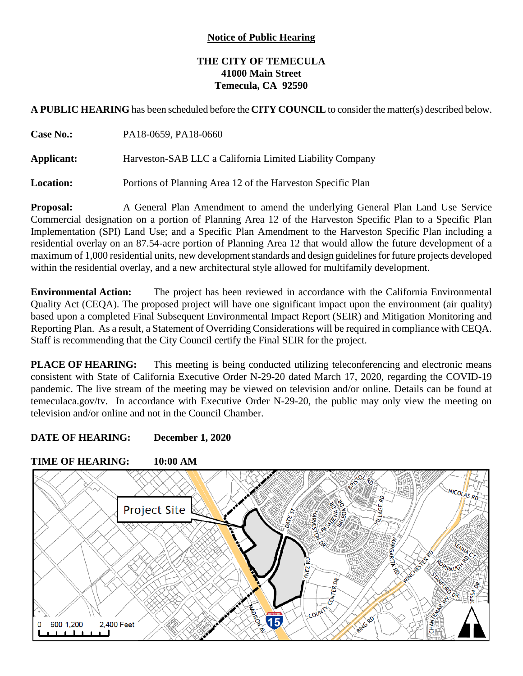## **Notice of Public Hearing**

## **THE CITY OF TEMECULA 41000 Main Street Temecula, CA 92590**

**A PUBLIC HEARING** has been scheduled before the **CITY COUNCIL** to consider the matter(s) described below.

| <b>Case No.:</b> | PA18-0659, PA18-0660                                        |
|------------------|-------------------------------------------------------------|
| Applicant:       | Harveston-SAB LLC a California Limited Liability Company    |
| <b>Location:</b> | Portions of Planning Area 12 of the Harveston Specific Plan |

**Proposal:** A General Plan Amendment to amend the underlying General Plan Land Use Service Commercial designation on a portion of Planning Area 12 of the Harveston Specific Plan to a Specific Plan Implementation (SPI) Land Use; and a Specific Plan Amendment to the Harveston Specific Plan including a residential overlay on an 87.54-acre portion of Planning Area 12 that would allow the future development of a maximum of 1,000 residential units, new development standards and design guidelines for future projects developed within the residential overlay, and a new architectural style allowed for multifamily development.

**Environmental Action:** The project has been reviewed in accordance with the California Environmental Quality Act (CEQA). The proposed project will have one significant impact upon the environment (air quality) based upon a completed Final Subsequent Environmental Impact Report (SEIR) and Mitigation Monitoring and Reporting Plan. As a result, a Statement of Overriding Considerations will be required in compliance with CEQA. Staff is recommending that the City Council certify the Final SEIR for the project.

**PLACE OF HEARING:** This meeting is being conducted utilizing teleconferencing and electronic means consistent with State of California Executive Order N-29-20 dated March 17, 2020, regarding the COVID-19 pandemic. The live stream of the meeting may be viewed on television and/or online. Details can be found at temeculaca.gov/tv. In accordance with Executive Order N-29-20, the public may only view the meeting on television and/or online and not in the Council Chamber.

## **DATE OF HEARING: December 1, 2020**